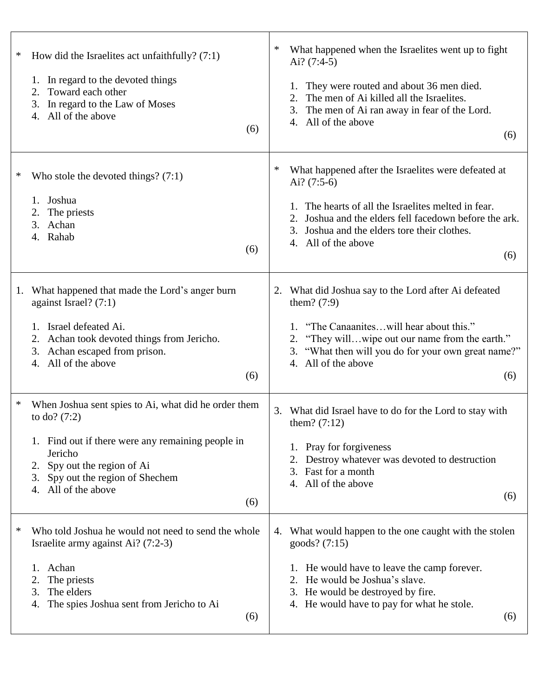| $\ast$<br>How did the Israelites act unfaithfully? $(7:1)$<br>1. In regard to the devoted things<br>2. Toward each other<br>3. In regard to the Law of Moses<br>4. All of the above<br>(6)                                                   | ∗<br>What happened when the Israelites went up to fight<br>Ai? $(7:4-5)$<br>They were routed and about 36 men died.<br>The men of Ai killed all the Israelites.<br>The men of Ai ran away in fear of the Lord.<br>3.<br>4. All of the above<br>(6)                    |
|----------------------------------------------------------------------------------------------------------------------------------------------------------------------------------------------------------------------------------------------|-----------------------------------------------------------------------------------------------------------------------------------------------------------------------------------------------------------------------------------------------------------------------|
| ∗<br>Who stole the devoted things? $(7:1)$<br>1. Joshua<br>The priests<br>2.<br>3. Achan<br>4. Rahab<br>(6)                                                                                                                                  | ∗<br>What happened after the Israelites were defeated at<br>Ai? $(7:5-6)$<br>The hearts of all the Israelites melted in fear.<br>Joshua and the elders fell facedown before the ark.<br>Joshua and the elders tore their clothes.<br>3.<br>4. All of the above<br>(6) |
| 1. What happened that made the Lord's anger burn<br>against Israel? (7:1)<br>1. Israel defeated Ai.<br>2. Achan took devoted things from Jericho.<br>3. Achan escaped from prison.<br>All of the above<br>4.<br>(6)                          | What did Joshua say to the Lord after Ai defeated<br>2.<br>them? $(7:9)$<br>1. "The Canaaniteswill hear about this."<br>2. "They willwipe out our name from the earth."<br>3. "What then will you do for your own great name?"<br>4. All of the above<br>(6)          |
| ∗<br>When Joshua sent spies to Ai, what did he order them<br>to do? $(7:2)$<br>1. Find out if there were any remaining people in<br>Jericho<br>2. Spy out the region of Ai<br>3. Spy out the region of Shechem<br>4. All of the above<br>(6) | What did Israel have to do for the Lord to stay with<br>3.<br>them? $(7:12)$<br>Pray for forgiveness<br>Destroy whatever was devoted to destruction<br>Fast for a month<br>3.<br>4. All of the above<br>(6)                                                           |
| Who told Joshua he would not need to send the whole<br>$\ast$<br>Israelite army against Ai? (7:2-3)<br>Achan<br>The priests<br>2.<br>The elders<br>3.<br>The spies Joshua sent from Jericho to Ai<br>4.<br>(6)                               | What would happen to the one caught with the stolen<br>4.<br>$goods$ ? (7:15)<br>He would have to leave the camp forever.<br>He would be Joshua's slave.<br>2.<br>3. He would be destroyed by fire.<br>4. He would have to pay for what he stole.<br>(6)              |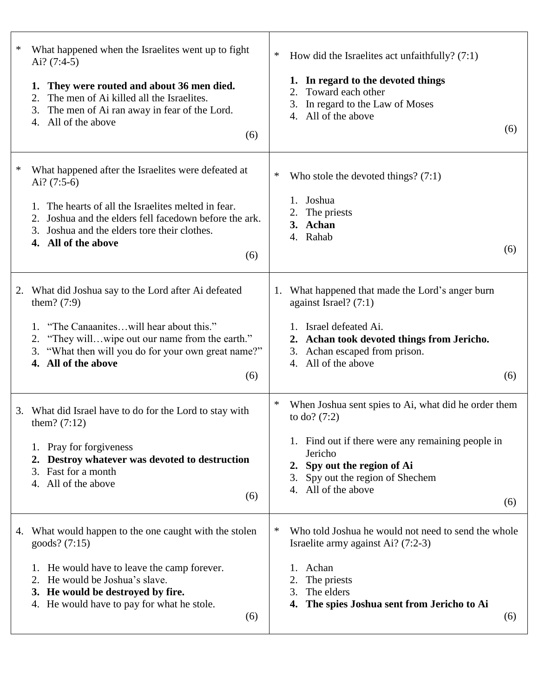| $\ast$<br>What happened when the Israelites went up to fight<br>Ai? $(7:4-5)$<br>They were routed and about 36 men died.<br>The men of Ai killed all the Israelites.<br>2.<br>3. The men of Ai ran away in fear of the Lord.<br>4. All of the above<br>(6)                       | ∗<br>How did the Israelites act unfaithfully? $(7:1)$<br>1. In regard to the devoted things<br>Toward each other<br>2.<br>3. In regard to the Law of Moses<br>4. All of the above<br>(6)                                                        |
|----------------------------------------------------------------------------------------------------------------------------------------------------------------------------------------------------------------------------------------------------------------------------------|-------------------------------------------------------------------------------------------------------------------------------------------------------------------------------------------------------------------------------------------------|
| $\ast$<br>What happened after the Israelites were defeated at<br>Ai? $(7:5-6)$<br>The hearts of all the Israelites melted in fear.<br>1.<br>2. Joshua and the elders fell facedown before the ark.<br>3. Joshua and the elders tore their clothes.<br>4. All of the above<br>(6) | ∗<br>Who stole the devoted things? $(7:1)$<br>Joshua<br>The priests<br>3. Achan<br>4. Rahab<br>(6)                                                                                                                                              |
| What did Joshua say to the Lord after Ai defeated<br>2.<br>them? $(7:9)$<br>1. "The Canaaniteswill hear about this."<br>2. "They willwipe out our name from the earth."<br>3. "What then will you do for your own great name?"<br>4. All of the above<br>(6)                     | What happened that made the Lord's anger burn<br>1.<br>against Israel? $(7:1)$<br>1. Israel defeated Ai.<br>2. Achan took devoted things from Jericho.<br>3. Achan escaped from prison.<br>4. All of the above<br>(6)                           |
| What did Israel have to do for the Lord to stay with<br>3.<br>them? $(7:12)$<br>1. Pray for forgiveness<br>Destroy whatever was devoted to destruction<br>$\mathbf{2}$ .<br>3. Fast for a month<br>4. All of the above<br>(6)                                                    | ∗<br>When Joshua sent spies to Ai, what did he order them<br>to do? $(7:2)$<br>1. Find out if there were any remaining people in<br>Jericho<br>2. Spy out the region of Ai<br>Spy out the region of Shechem<br>3.<br>4. All of the above<br>(6) |
| 4. What would happen to the one caught with the stolen<br>goods? (7:15)<br>He would have to leave the camp forever.<br>2. He would be Joshua's slave.<br>3. He would be destroyed by fire.<br>4. He would have to pay for what he stole.<br>(6)                                  | ∗<br>Who told Joshua he would not need to send the whole<br>Israelite army against Ai? $(7:2-3)$<br>Achan<br>The priests<br>The elders<br>3.<br>The spies Joshua sent from Jericho to Ai<br>4.<br>(6)                                           |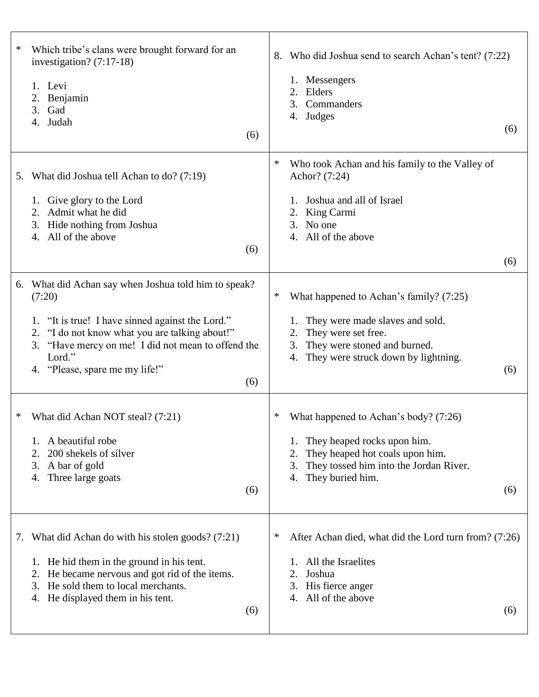| Which tribe's clans were brought forward for an<br>∗<br>investigation? $(7:17-18)$<br>1. Levi<br>2. Benjamin<br>Gad<br>3.<br>4. Judah<br>(6)                                                                                                                                     | Who did Joshua send to search Achan's tent? (7:22)<br>8.<br>Messengers<br>Elders<br>2.<br>Commanders<br>3.<br>4. Judges<br>(6)                                                                         |
|----------------------------------------------------------------------------------------------------------------------------------------------------------------------------------------------------------------------------------------------------------------------------------|--------------------------------------------------------------------------------------------------------------------------------------------------------------------------------------------------------|
| 5. What did Joshua tell Achan to do? (7:19)<br>1. Give glory to the Lord<br>2. Admit what he did<br>3. Hide nothing from Joshua<br>4. All of the above<br>(6)                                                                                                                    | ∗<br>Who took Achan and his family to the Valley of<br>Achor? (7:24)<br>Joshua and all of Israel<br>King Carmi<br>No one<br>3.<br>All of the above<br>4.<br>(6)                                        |
| What did Achan say when Joshua told him to speak?<br>6.<br>(7:20)<br>1. "It is true! I have sinned against the Lord."<br>2. "I do not know what you are talking about!"<br>3. "Have mercy on me! I did not mean to offend the<br>Lord."<br>4. "Please, spare me my life!"<br>(6) | ∗<br>What happened to Achan's family? (7:25)<br>They were made slaves and sold.<br>They were set free.<br>2.<br>They were stoned and burned.<br>3.<br>They were struck down by lightning.<br>4.<br>(6) |
| What did Achan NOT steal? (7:21)<br>∗<br>A beautiful robe<br>200 shekels of silver<br>2.<br>3. A bar of gold<br>Three large goats<br>4.<br>(6)                                                                                                                                   | What happened to Achan's body? (7:26)<br>$\ast$<br>They heaped rocks upon him.<br>They heaped hot coals upon him.<br>They tossed him into the Jordan River.<br>3.<br>They buried him.<br>4.<br>(6)     |
| What did Achan do with his stolen goods? (7:21)<br>7.<br>1. He hid them in the ground in his tent.<br>He became nervous and got rid of the items.<br>2.<br>He sold them to local merchants.<br>3.<br>4. He displayed them in his tent.<br>(6)                                    | ∗<br>After Achan died, what did the Lord turn from? (7:26)<br>All the Israelites<br>2.<br>Joshua<br>His fierce anger<br>3.<br>All of the above<br>4.<br>(6)                                            |